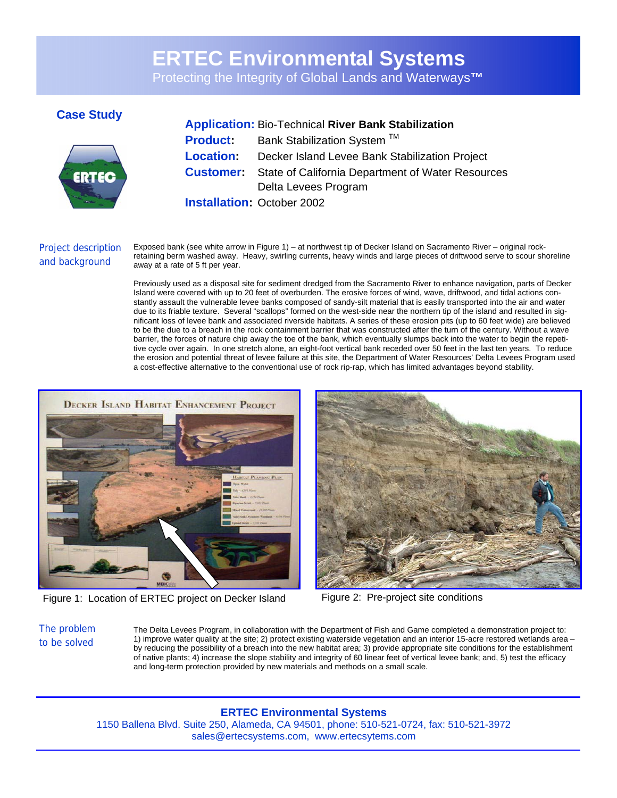# **ERTEC Environmental Systems**

Protecting the Integrity of Global Lands and Waterways**™** 



## **Case Study Application:** Bio-Technical **River Bank Stabilization Product:** Bank Stabilization System ™ **Location:** Decker Island Levee Bank Stabilization Project

**Customer:** State of California Department of Water Resources Delta Levees Program

**Installation:** October 2002

## Project description and background

Exposed bank (see white arrow in Figure 1) – at northwest tip of Decker Island on Sacramento River – original rockretaining berm washed away. Heavy, swirling currents, heavy winds and large pieces of driftwood serve to scour shoreline away at a rate of 5 ft per year.

Previously used as a disposal site for sediment dredged from the Sacramento River to enhance navigation, parts of Decker Island were covered with up to 20 feet of overburden. The erosive forces of wind, wave, driftwood, and tidal actions constantly assault the vulnerable levee banks composed of sandy-silt material that is easily transported into the air and water due to its friable texture. Several "scallops" formed on the west-side near the northern tip of the island and resulted in significant loss of levee bank and associated riverside habitats. A series of these erosion pits (up to 60 feet wide) are believed to be the due to a breach in the rock containment barrier that was constructed after the turn of the century. Without a wave barrier, the forces of nature chip away the toe of the bank, which eventually slumps back into the water to begin the repetitive cycle over again. In one stretch alone, an eight-foot vertical bank receded over 50 feet in the last ten years. To reduce the erosion and potential threat of levee failure at this site, the Department of Water Resources' Delta Levees Program used a cost-effective alternative to the conventional use of rock rip-rap, which has limited advantages beyond stability.



Figure 1: Location of ERTEC project on Decker Island Figure 2: Pre-project site conditions



The problem to be solved

The Delta Levees Program, in collaboration with the Department of Fish and Game completed a demonstration project to: 1) improve water quality at the site; 2) protect existing waterside vegetation and an interior 15-acre restored wetlands area – by reducing the possibility of a breach into the new habitat area; 3) provide appropriate site conditions for the establishment of native plants; 4) increase the slope stability and integrity of 60 linear feet of vertical levee bank; and, 5) test the efficacy and long-term protection provided by new materials and methods on a small scale.

### **ERTEC Environmental Systems**

1150 Ballena Blvd. Suite 250, Alameda, CA 94501, phone: 510-521-0724, fax: 510-521-3972 sales@ertecsystems.com, www.ertecsytems.com